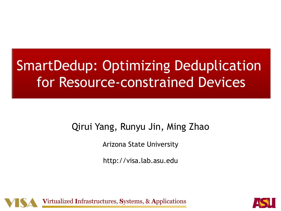# **SmartDedup: Optimizing Deduplication** for Resource-constrained Devices

## Qirui Yang, Runyu Jin, Ming Zhao

Arizona State University

http://visa.lab.asu.edu



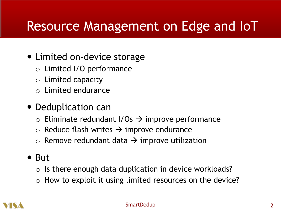## Resource Management on Edge and IoT

## • Limited on-device storage

- o Limited I/O performance
- $\circ$  Limited capacity
- $\circ$  Limited endurance

## • Deduplication can

- $\circ$  Eliminate redundant I/Os  $\rightarrow$  improve performance
- $\circ$  Reduce flash writes  $\rightarrow$  improve endurance
- $\circ$  Remove redundant data  $\rightarrow$  improve utilization

### $\bullet$  But

- $\circ$  Is there enough data duplication in device workloads?
- $\circ$  How to exploit it using limited resources on the device?



#### SmartDedup 2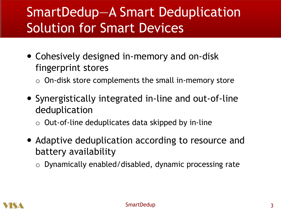# SmartDedup—A Smart Deduplication Solution for Smart Devices

- Cohesively designed in-memory and on-disk fingerprint stores
	- $\circ$  On-disk store complements the small in-memory store
- Synergistically integrated in-line and out-of-line deduplication
	- $\circ$  Out-of-line deduplicates data skipped by in-line
- Adaptive deduplication according to resource and battery availability
	- o Dynamically enabled/disabled, dynamic processing rate

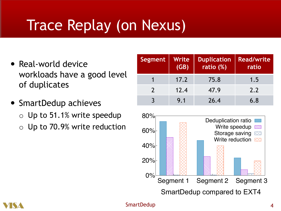# Trace Replay (on Nexus)

- Real-world device workloads have a good level of duplicates
- SmartDedup achieves
	- $\circ$  Up to 51.1% write speedup
	- o Up to 70.9% write reduction

| Segment       | Write<br>(GB) | <b>Duplication</b><br>ratio (%) | <b>Read/write</b><br>ratio |
|---------------|---------------|---------------------------------|----------------------------|
|               | 17.2          | 75.8                            | 1.5                        |
| $\mathcal{L}$ | 12.4          | 47.9                            | 2.2                        |
|               | 9.1           | 26.4                            | 6.8                        |





#### SmartDedup 4